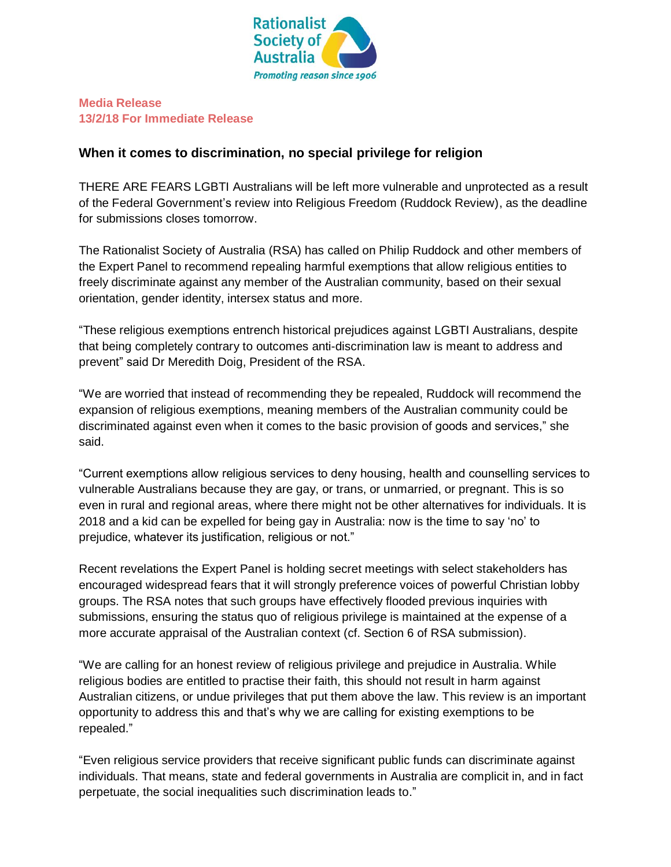

### **Media Release 13/2/18 For Immediate Release**

# **When it comes to discrimination, no special privilege for religion**

THERE ARE FEARS LGBTI Australians will be left more vulnerable and unprotected as a result of the Federal Government's review into Religious Freedom (Ruddock Review), as the deadline for submissions closes tomorrow.

The Rationalist Society of Australia (RSA) has called on Philip Ruddock and other members of the Expert Panel to recommend repealing harmful exemptions that allow religious entities to freely discriminate against any member of the Australian community, based on their sexual orientation, gender identity, intersex status and more.

"These religious exemptions entrench historical prejudices against LGBTI Australians, despite that being completely contrary to outcomes anti-discrimination law is meant to address and prevent" said Dr Meredith Doig, President of the RSA.

"We are worried that instead of recommending they be repealed, Ruddock will recommend the expansion of religious exemptions, meaning members of the Australian community could be discriminated against even when it comes to the basic provision of goods and services," she said.

"Current exemptions allow religious services to deny housing, health and counselling services to vulnerable Australians because they are gay, or trans, or unmarried, or pregnant. This is so even in rural and regional areas, where there might not be other alternatives for individuals. It is 2018 and a kid can be expelled for being gay in Australia: now is the time to say 'no' to prejudice, whatever its justification, religious or not."

Recent revelations the Expert Panel is holding secret meetings with select stakeholders has encouraged widespread fears that it will strongly preference voices of powerful Christian lobby groups. The RSA notes that such groups have effectively flooded previous inquiries with submissions, ensuring the status quo of religious privilege is maintained at the expense of a more accurate appraisal of the Australian context (cf. Section 6 of RSA submission).

"We are calling for an honest review of religious privilege and prejudice in Australia. While religious bodies are entitled to practise their faith, this should not result in harm against Australian citizens, or undue privileges that put them above the law. This review is an important opportunity to address this and that's why we are calling for existing exemptions to be repealed."

"Even religious service providers that receive significant public funds can discriminate against individuals. That means, state and federal governments in Australia are complicit in, and in fact perpetuate, the social inequalities such discrimination leads to."